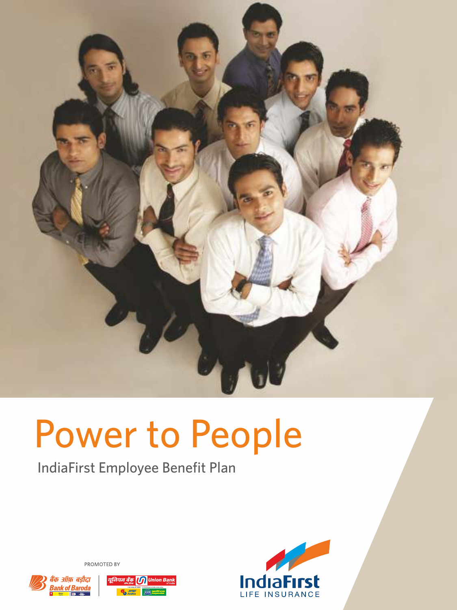

# Power to People

IndiaFirst Employee Benefit Plan



PROMOTED BY



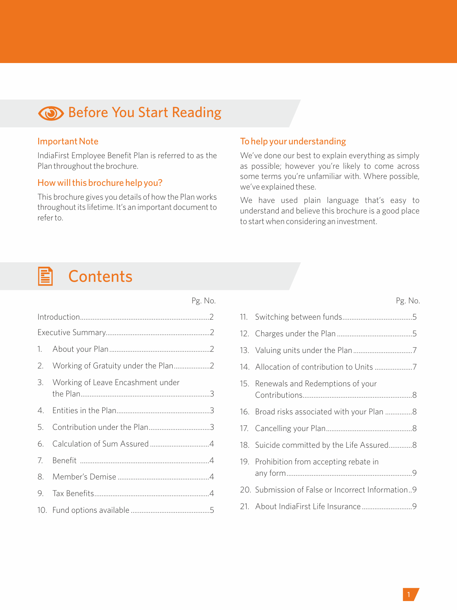## **Before You Start Reading**

#### Important Note

IndiaFirst Employee Benefit Plan is referred to as the Plan throughout the brochure.

#### How will this brochure help you?

This brochure gives you details of how the Plan works throughout its lifetime. It's an important document to refer to.

Pg. No.

### To help your understanding

We've done our best to explain everything as simply as possible; however you're likely to come across some terms you're unfamiliar with. Where possible, we've explained these.

We have used plain language that's easy to understand and believe this brochure is a good place to start when considering an investment.

#### **Contents** E

| 3. Working of Leave Encashment under |  |
|--------------------------------------|--|
|                                      |  |
| 5. Contribution under the Plan3      |  |
|                                      |  |
|                                      |  |
|                                      |  |
|                                      |  |
|                                      |  |

| 14. Allocation of contribution to Units 7         |  |
|---------------------------------------------------|--|
| 15. Renewals and Redemptions of your              |  |
|                                                   |  |
|                                                   |  |
| 18. Suicide committed by the Life Assured8        |  |
| 19. Prohibition from accepting rebate in          |  |
| 20. Submission of False or Incorrect Information9 |  |
|                                                   |  |
|                                                   |  |

Pg. No.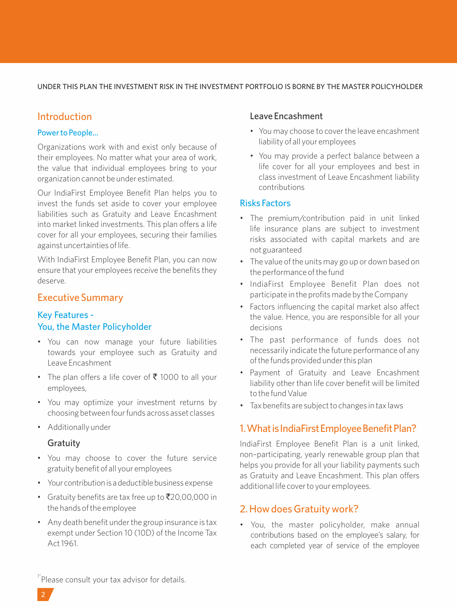#### UNDER THIS PLAN THE INVESTMENT RISK IN THE INVESTMENT PORTFOLIO IS BORNE BY THE MASTER POLICYHOLDER

## Introduction

#### Power to People...

Organizations work with and exist only because of their employees. No matter what your area of work, the value that individual employees bring to your organization cannot be under estimated.

Our IndiaFirst Employee Benefit Plan helps you to invest the funds set aside to cover your employee liabilities such as Gratuity and Leave Encashment into market linked investments. This plan offers a life cover for all your employees, securing their families against uncertainties of life.

With IndiaFirst Employee Benefit Plan, you can now ensure that your employees receive the benefits they deserve.

## Executive Summary

## Key Features - You, the Master Policyholder

- You can now manage your future liabilities towards your employee such as Gratuity and Leave Encashment
- The plan offers a life cover of  $\bar{\tau}$  1000 to all your employees,
- You may optimize your investment returns by choosing between four funds across asset classes
- Additionally under

### Gratuity

- You may choose to cover the future service gratuity benefit of all your employees
- Your contribution is a deductible business expense
- Gratuity benefits are tax free up to  $\bar{\mathcal{R}}$ 20,00,000 in the hands of the employee
- Any death benefit under the group insurance is tax exempt under Section 10 (10D) of the Income Tax Act 1961.

### Leave Encashment

- You may choose to cover the leave encashment liability of all your employees
- You may provide a perfect balance between a life cover for all your employees and best in class investment of Leave Encashment liability contributions

## Risks Factors

- The premium/contribution paid in unit linked life insurance plans are subject to investment risks associated with capital markets and are not guaranteed
- The value of the units may go up or down based on the performance of the fund
- IndiaFirst Employee Benefit Plan does not participate in the profits made by the Company
- Factors influencing the capital market also affect the value. Hence, you are responsible for all your decisions
- The past performance of funds does not necessarily indicate the future performance of any of the funds provided under this plan
- Payment of Gratuity and Leave Encashment liability other than life cover benefit will be limited to the fund Value
- Tax benefits are subject to changes in tax laws

## 1. What is IndiaFirst Employee Benefit Plan?

IndiaFirst Employee Benefit Plan is a unit linked, non–participating, yearly renewable group plan that helps you provide for all your liability payments such as Gratuity and Leave Encashment. This plan offers additional life cover to your employees.

## 2. How does Gratuity work?

• You, the master policyholder, make annual contributions based on the employee's salary, for each completed year of service of the employee

<sup>1\*</sup>Please consult your tax advisor for details.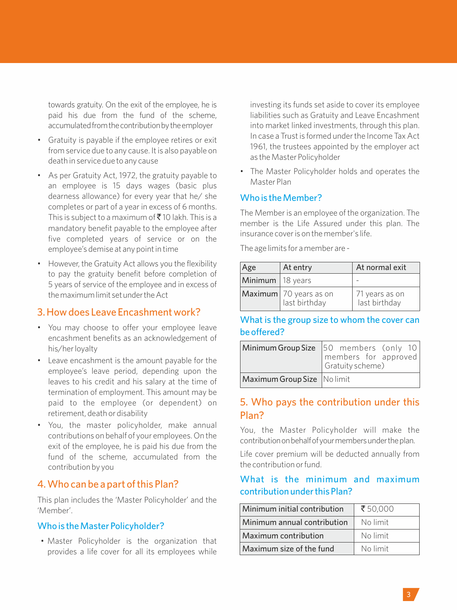towards gratuity. On the exit of the employee, he is paid his due from the fund of the scheme, accumulated from the contribution by the employer

- Gratuity is payable if the employee retires or exit from service due to any cause. It is also payable on death in service due to any cause
- As per Gratuity Act, 1972, the gratuity payable to an employee is 15 days wages (basic plus dearness allowance) for every year that he/ she completes or part of a year in excess of 6 months. This is subject to a maximum of  $\bar{\bar{\mathcal{J}}}$  10 lakh. This is a mandatory benefit payable to the employee after five completed years of service or on the employee's demise at any point in time
- However, the Gratuity Act allows you the flexibility to pay the gratuity benefit before completion of 5 years of service of the employee and in excess of themaximumlimit setundertheAct

### 3. How does Leave Encashment work?

- You may choose to offer your employee leave encashment benefits as an acknowledgement of his/her loyalty
- Leave encashment is the amount payable for the employee's leave period, depending upon the leaves to his credit and his salary at the time of termination of employment. This amount may be paid to the employee (or dependent) on retirement, death or disability
- You, the master policyholder, make annual contributions on behalf of your employees. On the exit of the employee, he is paid his due from the fund of the scheme, accumulated from the contribution by you

## 4. Who can be a part of this Plan?

This plan includes the 'Master Policyholder' and the 'Member'.

#### Who is the Master Policyholder?

• Master Policyholder is the organization that provides a life cover for all its employees while investing its funds set aside to cover its employee liabilities such as Gratuity and Leave Encashment into market linked investments, through this plan. In case a Trust is formed under the Income Tax Act 1961, the trustees appointed by the employer act as the Master Policyholder

• The Master Policyholder holds and operates the Master Plan

### Who is the Member?

The Member is an employee of the organization. The member is the Life Assured under this plan. The insurance cover is on the member's life.

The age limits for a member are -

| Age                | At entry                                | At normal exit                  |  |  |
|--------------------|-----------------------------------------|---------------------------------|--|--|
| Minimum   18 years |                                         |                                 |  |  |
|                    | Maximum 70 years as on<br>last birthday | 71 years as on<br>last birthday |  |  |

## What is the group size to whom the cover can be offered?

|                              | Minimum Group Size 50 members (only 10<br>members for approved<br>Gratuity scheme) |
|------------------------------|------------------------------------------------------------------------------------|
| Maximum Group Size   Nolimit |                                                                                    |

## 5. Who pays the contribution under this Plan?

You, the Master Policyholder will make the contribution on behalf of your members under the plan.

Life cover premium will be deducted annually from the contribution or fund.

## What is the minimum and maximum contribution under this Plan?

| Minimum initial contribution | ₹50,000  |
|------------------------------|----------|
| Minimum annual contribution  | No limit |
| Maximum contribution         | No limit |
| Maximum size of the fund     | No limit |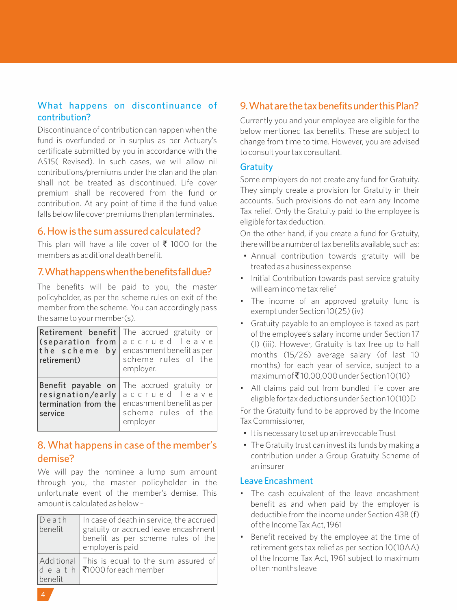## What happens on discontinuance of contribution?

Discontinuance of contribution can happen when the fund is overfunded or in surplus as per Actuary's certificate submitted by you in accordance with the AS15( Revised). In such cases, we will allow nil contributions/premiums under the plan and the plan shall not be treated as discontinued. Life cover premium shall be recovered from the fund or contribution. At any point of time if the fund value falls below life cover premiums then plan terminates.

## 6. How is the sum assured calculated?

This plan will have a life cover of  $\bar{\tau}$  1000 for the members as additional death benefit.

## 7. What happens when the benefits fall due?

The benefits will be paid to you, the master policyholder, as per the scheme rules on exit of the member from the scheme. You can accordingly pass the same to your member(s).

| Retirement benefit<br>(separation from<br>the scheme by<br>retirement)     | The accrued gratuity or<br>accrued leave<br>encashment benefit as per<br>scheme rules of the<br>employer. |
|----------------------------------------------------------------------------|-----------------------------------------------------------------------------------------------------------|
| Benefit payable on<br>resignation/early<br>termination from the<br>service | The accrued gratuity or<br>accrued leave<br>encashment benefit as per<br>scheme rules of the<br>emplover  |

## 8. What happens in case of the member's demise?

We will pay the nominee a lump sum amount through you, the master policyholder in the unfortunate event of the member's demise. This amount is calculated as below –

| $D$ eath<br>benefit | In case of death in service, the accrued<br>gratuity or accrued leave encashment<br>benefit as per scheme rules of the<br>employer is paid |
|---------------------|--------------------------------------------------------------------------------------------------------------------------------------------|
| benefit             | Additional This is equal to the sum assured of<br>d e a t h $\sqrt{51000}$ for each member                                                 |

## 9. What are the tax benefits under this Plan?

Currently you and your employee are eligible for the below mentioned tax benefits. These are subject to change from time to time. However, you are advised to consult your tax consultant.

#### **Gratuity**

Some employers do not create any fund for Gratuity. They simply create a provision for Gratuity in their accounts. Such provisions do not earn any Income Tax relief. Only the Gratuity paid to the employee is eligible for tax deduction.

On the other hand, if you create a fund for Gratuity, there will be a number of tax benefits available, such as:

- Annual contribution towards gratuity will be treated as a business expense
- Initial Contribution towards past service gratuity will earn income tax relief
- The income of an approved gratuity fund is exempt under Section 10(25) (iv)
- Gratuity payable to an employee is taxed as part of the employee's salary income under Section 17 (I) (iii). However, Gratuity is tax free up to half months (15/26) average salary (of last 10 months) for each year of service, subject to a maximum of  $\bar{\mathcal{F}}$  10,00,000 under Section 10(10)
- All claims paid out from bundled life cover are eligible for tax deductions under Section 10(10)D

For the Gratuity fund to be approved by the Income Tax Commissioner,

- It is necessary to set up an irrevocable Trust
- The Gratuity trust can invest its funds by making a contribution under a Group Gratuity Scheme of an insurer

### Leave Encashment

- The cash equivalent of the leave encashment benefit as and when paid by the employer is deductible from the income under Section 43B (f) of the Income Tax Act, 1961
- Benefit received by the employee at the time of retirement gets tax relief as per section 10(10AA) of the Income Tax Act, 1961 subject to maximum of ten months leave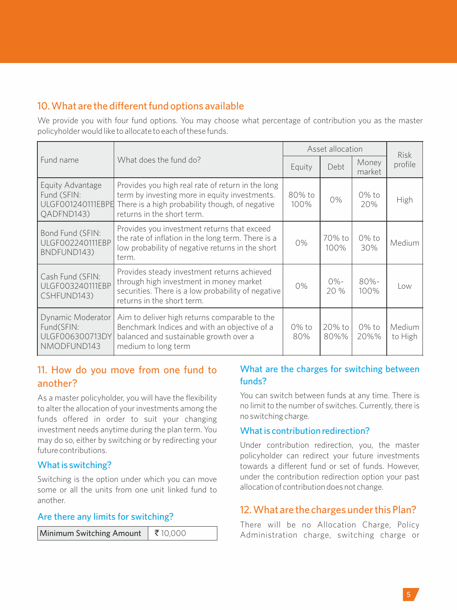## 10. What are the different fund options available

We provide you with four fund options. You may choose what percentage of contribution you as the master policyholder would like to allocate to each of these funds.

|                                                                    |                                                                                                                                                                                     | Asset allocation | <b>Risk</b>    |                  |                   |
|--------------------------------------------------------------------|-------------------------------------------------------------------------------------------------------------------------------------------------------------------------------------|------------------|----------------|------------------|-------------------|
| Fund name                                                          | What does the fund do?                                                                                                                                                              | Equity           | Debt           | Money<br>market  | profile           |
| Equity Advantage<br>Fund (SFIN:<br>ULGF001240111EBPE<br>OADFND143) | Provides you high real rate of return in the long<br>term by investing more in equity investments.<br>There is a high probability though, of negative<br>returns in the short term. | 80% to<br>100%   | 0%             | $0\%$ to<br>20%  | High              |
| Bond Fund (SFIN:<br><b>ULGF002240111EBP</b><br>BNDFUND143)         | Provides you investment returns that exceed<br>the rate of inflation in the long term. There is a<br>low probability of negative returns in the short<br>term.                      | 0%               | 70% to<br>100% | $0\%$ to<br>30%  | Medium            |
| Cash Fund (SFIN:<br>ULGF003240111EBP<br>CSHFUND143)                | Provides steady investment returns achieved<br>through high investment in money market<br>securities. There is a low probability of negative<br>returns in the short term.          | 0%               | $0% -$<br>20%  | $80% -$<br>100%  | l ow              |
| Dynamic Moderator<br>Fund(SFIN:<br>ULGF006300713DY<br>NMODFUND143  | Aim to deliver high returns comparable to the<br>Benchmark Indices and with an objective of a<br>balanced and sustainable growth over a<br>medium to long term                      | $0\%$ to<br>80%  | 20% to<br>80%% | $0\%$ to<br>20%% | Medium<br>to High |

## 11. How do you move from one fund to another?

As a master policyholder, you will have the flexibility to alter the allocation of your investments among the funds offered in order to suit your changing investment needs anytime during the plan term. You may do so, either by switching or by redirecting your future contributions.

## What is switching?

Switching is the option under which you can move some or all the units from one unit linked fund to another.

### Are there any limits for switching?

| Minimum Switching Amount   ₹10,000 |  |
|------------------------------------|--|
|------------------------------------|--|

## What are the charges for switching between funds?

You can switch between funds at any time. There is no limit to the number of switches. Currently, there is no switching charge.

### What is contribution redirection?

Under contribution redirection, you, the master policyholder can redirect your future investments towards a different fund or set of funds. However, under the contribution redirection option your past allocation of contribution does not change.

## 12. What are the charges under this Plan?

There will be no Allocation Charge, Policy Administration charge, switching charge or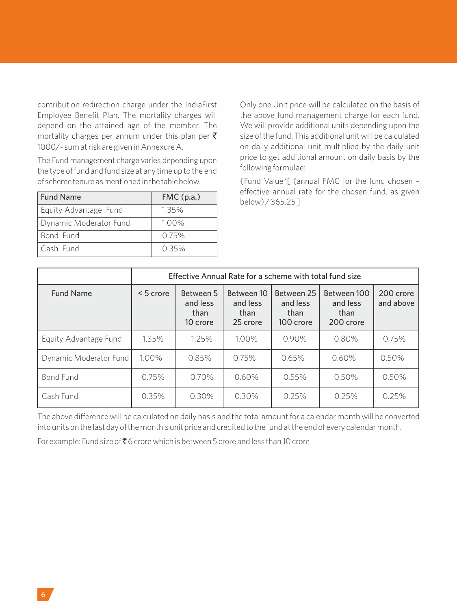contribution redirection charge under the IndiaFirst Employee Benefit Plan. The mortality charges will depend on the attained age of the member. The mortality charges per annum under this plan per  $\bar{\tau}$ 1000/- sum at risk are given in Annexure A.

The Fund management charge varies depending upon the type of fund and fund size at any time up to the end of schemetenureasmentionedinthetablebelow.

| <b>Fund Name</b>       | FMC(p.a.) |
|------------------------|-----------|
| Equity Advantage Fund  | 1.35%     |
| Dynamic Moderator Fund | 1.00%     |
| Bond Fund              | Q 75%     |
| l Cash Fund            | 0.35%     |

Only one Unit price will be calculated on the basis of the above fund management charge for each fund. We will provide additional units depending upon the size of the fund. This additional unit will be calculated on daily additional unit multiplied by the daily unit price to get additional amount on daily basis by the following formulae:

{Fund Value\*[ (annual FMC for the fund chosen – effective annual rate for the chosen fund, as given below) / 365.25 ]

|                        | Effective Annual Rate for a scheme with total fund size |                                           |                                            |                                                                                             |          |                        |  |
|------------------------|---------------------------------------------------------|-------------------------------------------|--------------------------------------------|---------------------------------------------------------------------------------------------|----------|------------------------|--|
| <b>Fund Name</b>       | $< 5$ crore                                             | Between 5<br>and less<br>than<br>10 crore | Between 10<br>and less<br>than<br>25 crore | Between 100<br>Between 25<br>and less<br>and less<br>than<br>than<br>100 crore<br>200 crore |          | 200 crore<br>and above |  |
| Equity Advantage Fund  | 1.35%                                                   | 1.25%                                     | 1.00%                                      | $0.90\%$                                                                                    | $0.80\%$ | 0.75%                  |  |
| Dynamic Moderator Fund | 1.00%                                                   | 0.85%                                     | 0.75%                                      | 0.65%                                                                                       | 0.60%    | 0.50%                  |  |
| <b>Bond Fund</b>       | 0.75%                                                   | 0.70%                                     | 0.60%                                      | 0.55%                                                                                       | 0.50%    | 0.50%                  |  |
| Cash Fund              | 0.35%                                                   | 0.30%                                     | 0.30%                                      | 0.25%                                                                                       | 0.25%    | 0.25%                  |  |

The above difference will be calculated on daily basis and the total amount for a calendar month will be converted into units on the last day of the month's unit price and credited to the fund at the end of every calendar month.

For example: Fund size of  $\bar{\tau}$  6 crore which is between 5 crore and less than 10 crore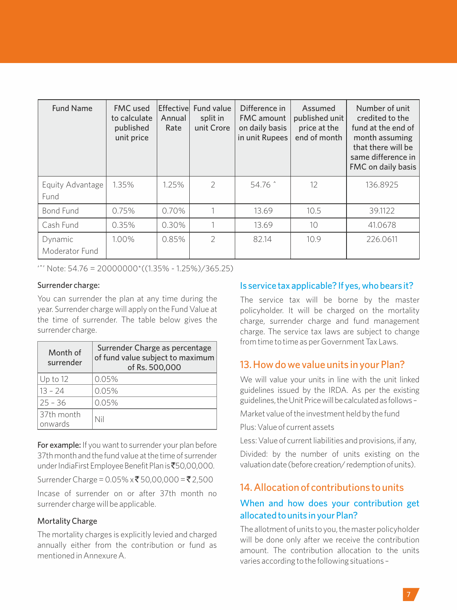| <b>Fund Name</b>          | <b>FMC</b> used<br>to calculate<br>published<br>unit price | Annual<br>Rate | <b>Effectivel Fund value</b><br>split in<br>unit Crore | Difference in<br><b>FMC</b> amount<br>on daily basis<br>in unit Rupees | Assumed<br>published unit<br>price at the<br>end of month | Number of unit<br>credited to the<br>fund at the end of<br>month assuming<br>that there will be<br>same difference in<br>FMC on daily basis |
|---------------------------|------------------------------------------------------------|----------------|--------------------------------------------------------|------------------------------------------------------------------------|-----------------------------------------------------------|---------------------------------------------------------------------------------------------------------------------------------------------|
| Equity Advantage<br>Fund  | 1.35%                                                      | 1.25%          | $\mathcal{P}$                                          | 54.76 ^                                                                | 12                                                        | 136.8925                                                                                                                                    |
| Bond Fund                 | 0.75%                                                      | 0.70%          |                                                        | 13.69                                                                  | 10.5                                                      | 39.1122                                                                                                                                     |
| Cash Fund                 | 0.35%                                                      | 0.30%          |                                                        | 13.69                                                                  | 10                                                        | 41.0678                                                                                                                                     |
| Dynamic<br>Moderator Fund | 1.00%                                                      | 0.85%          | $\mathcal{P}$                                          | 82.14                                                                  | 10.9                                                      | 226.0611                                                                                                                                    |

 $'$ <sup>\*</sup>' Note: 54.76 = 20000000\*((1.35% - 1.25%)/365.25)

#### Surrender charge:

You can surrender the plan at any time during the year. Surrender charge will apply on the Fund Value at the time of surrender. The table below gives the surrender charge.

| Month of<br>surrender | Surrender Charge as percentage<br>of fund value subject to maximum<br>of Rs. 500,000 |  |  |
|-----------------------|--------------------------------------------------------------------------------------|--|--|
| $Up$ to 12            | 0.05%                                                                                |  |  |
| $13 - 24$             | 0.05%                                                                                |  |  |
| $25 - 36$             | 0.05%                                                                                |  |  |
| 37th month<br>onwards | Nil                                                                                  |  |  |

For example: If you want to surrender your plan before 37th month and the fund value atthe time of surrender under IndiaFirst Employee Benefit Plan is ₹50,00,000.

Surrender Charge =  $0.05\% \times \overline{5}50,00,000 = \overline{5}2,500$ 

Incase of surrender on or after 37th month no surrender charge will be applicable.

#### Mortality Charge

The mortality charges is explicitly levied and charged annually either from the contribution or fund as mentioned in Annexure A.

#### Is service tax applicable? If yes, who bears it?

The service tax will be borne by the master policyholder. It will be charged on the mortality charge, surrender charge and fund management charge. The service tax laws are subject to change from time to time as per Government Tax Laws.

## 13. How do we value units in your Plan?

We will value your units in line with the unit linked guidelines issued by the IRDA. As per the existing guidelines,theUnitPricewillbecalculatedas follows –

Market value of the investment held by the fund

Plus: Value of current assets

Less: Value of current liabilities and provisions, if any,

Divided: by the number of units existing on the valuationdate(beforecreation/redemptionofunits).

## 14. Allocation of contributions to units

## When and how does your contribution get allocated to units in your Plan?

The allotment of units to you, the master policyholder will be done only after we receive the contribution amount. The contribution allocation to the units varies according to the following situations –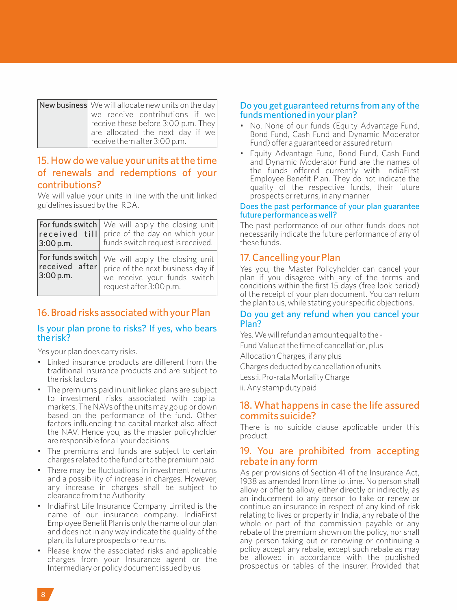| New business We will allocate new units on the day |  |  |  |
|----------------------------------------------------|--|--|--|
| we receive contributions if we                     |  |  |  |
| receive these before 3:00 p.m. They                |  |  |  |
| are allocated the next day if we                   |  |  |  |
| receive them after 3:00 p.m.                       |  |  |  |

## 15. How do we value your units at the time of renewals and redemptions of your contributions?

We will value your units in line with the unit linked guidelines issued by the IRDA.

| received till<br>3:00 p.m.                      | For funds switch   We will apply the closing unit<br>price of the day on which your<br>funds switch request is received.       |  |
|-------------------------------------------------|--------------------------------------------------------------------------------------------------------------------------------|--|
| For funds switch<br>received after<br>3:00 p.m. | We will apply the closing unit<br>price of the next business day if<br>we receive your funds switch<br>request after 3:00 p.m. |  |

## 16. Broad risks associated with your Plan

#### Is your plan prone to risks? If yes, who bears the risk?

Yes your plan does carry risks.

- Linked insurance products are different from the traditional insurance products and are subject to the risk factors
- The premiums paid in unit linked plans are subject to investment risks associated with capital markets. The NAVs of the units may go up or down based on the performance of the fund. Other factors influencing the capital market also affect the NAV. Hence you, as the master policyholder are responsible for all your decisions
- The premiums and funds are subject to certain charges related to the fund or to the premium paid
- There may be fluctuations in investment returns and a possibility of increase in charges. However, any increase in charges shall be subject to clearance from the Authority
- IndiaFirst Life Insurance Company Limited is the name of our insurance company. IndiaFirst Employee Benefit Plan is only the name of our plan and does not in any way indicate the quality of the plan, its future prospects or returns.
- Please know the associated risks and applicable charges from your Insurance agent or the Intermediary or policy document issued by us

#### Do you get guaranteed returns from any of the funds mentioned in your plan?

- No. None of our funds (Equity Advantage Fund, Bond Fund, Cash Fund and Dynamic Moderator Fund) offer a guaranteed or assured return
- Equity Advantage Fund, Bond Fund, Cash Fund and Dynamic Moderator Fund are the names of the funds offered currently with IndiaFirst Employee Benefit Plan. They do not indicate the quality of the respective funds, their future prospects or returns, in any manner

#### Does the past performance of your plan guarantee future performance as well?

The past performance of our other funds does not necessarily indicate the future performance of any of these funds.

## 17. Cancelling your Plan

Yes you, the Master Policyholder can cancel your plan if you disagree with any of the terms and conditions within the first 15 days (free look period) of the receipt of your plan document. You can return the plan to us, while stating your specific objections.

#### Do you get any refund when you cancel your Plan?

Yes. We will refund an amount equal to the -Fund Value at the time of cancellation, plus

Allocation Charges, if any plus

Charges deducted by cancellation of units Less:i. Pro-rata Mortality Charge

ii. Any stamp duty paid

### 18. What happens in case the life assured commits suicide?

There is no suicide clause applicable under this product.

### 19. You are prohibited from accepting rebate in any form

As per provisions of Section 41 of the Insurance Act, 1938 as amended from time to time. No person shall allow or offer to allow, either directly or indirectly, as an inducement to any person to take or renew or continue an insurance in respect of any kind of risk relating to lives or property in India, any rebate of the whole or part of the commission payable or any rebate of the premium shown on the policy, nor shall any person taking out or renewing or continuing a policy accept any rebate, except such rebate as may be allowed in accordance with the published prospectus or tables of the insurer. Provided that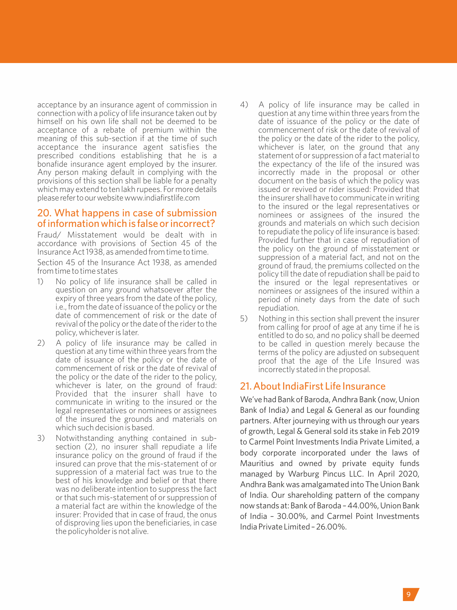acceptance by an insurance agent of commission in connection with a policy of life insurance taken out by himself on his own life shall not be deemed to be acceptance of a rebate of premium within the meaning of this sub-section if at the time of such acceptance the insurance agent satisfies the prescribed conditions establishing that he is a bonafide insurance agent employed by the insurer. Any person making default in complying with the provisions of this section shall be liable for a penalty which may extend to ten lakh rupees. For more details pleaserefertoourwebsitewww.indiafirstlife.com

#### 20. What happens in case of submission of information which is false or incorrect?

Fraud/ Misstatement would be dealt with in accordance with provisions of Section 45 of the Insurance Act 1938, as amended from time to time. Section 45 of the Insurance Act 1938, as amended from time to time states

- 1) No policy of life insurance shall be called in question on any ground whatsoever after the expiry of three years from the date of the policy, i.e., from the date of issuance of the policy or the date of commencement of risk or the date of revival of the policy or the date of the rider to the policy, whichever is later.
- 2) A policy of life insurance may be called in question at any time within three years from the date of issuance of the policy or the date of commencement of risk or the date of revival of the policy or the date of the rider to the policy, whichever is later, on the ground of fraud: Provided that the insurer shall have to communicate in writing to the insured or the legal representatives or nominees or assignees of the insured the grounds and materials on which such decision is based.
- 3) Notwithstanding anything contained in subsection (2), no insurer shall repudiate a life insurance policy on the ground of fraud if the insured can prove that the mis-statement of or suppression of a material fact was true to the best of his knowledge and belief or that there was no deliberate intention to suppress the fact or that such mis-statement of or suppression of a material fact are within the knowledge of the insurer: Provided that in case of fraud, the onus of disproving lies upon the beneficiaries, in case the policyholder is not alive.
- 4) A policy of life insurance may be called in question at any time within three years from the date of issuance of the policy or the date of commencement of risk or the date of revival of the policy or the date of the rider to the policy, whichever is later, on the ground that any statement of or suppression of a fact material to the expectancy of the life of the insured was incorrectly made in the proposal or other document on the basis of which the policy was issued or revived or rider issued: Provided that the insurer shall have to communicate in writing to the insured or the legal representatives or nominees or assignees of the insured the grounds and materials on which such decision to repudiate the policy of life insurance is based: Provided further that in case of repudiation of the policy on the ground of misstatement or suppression of a material fact, and not on the ground of fraud, the premiums collected on the policy till the date of repudiation shall be paid to the insured or the legal representatives or nominees or assignees of the insured within a period of ninety days from the date of such repudiation.
- 5) Nothing in this section shall prevent the insurer from calling for proof of age at any time if he is entitled to do so, and no policy shall be deemed to be called in question merely because the terms of the policy are adjusted on subsequent proof that the age of the Life Insured was incorrectly stated in the proposal.

## 21. About IndiaFirst Life Insurance

We've had Bank of Baroda, Andhra Bank (now, Union Bank of India) and Legal & General as our founding partners. After journeying with us through our years of growth, Legal & General sold its stake in Feb 2019 to Carmel Point Investments India Private Limited, a body corporate incorporated under the laws of Mauritius and owned by private equity funds managed by Warburg Pincus LLC. In April 2020, Andhra Bank was amalgamated into The Union Bank of India. Our shareholding pattern of the company now stands at: Bank of Baroda – 44.00%, Union Bank of India – 30.00%, and Carmel Point Investments India Private Limited – 26.00%.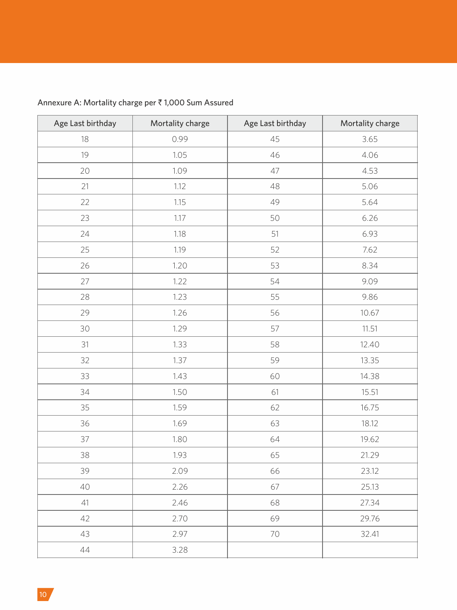| Age Last birthday | Mortality charge | Age Last birthday | Mortality charge |
|-------------------|------------------|-------------------|------------------|
| 18                | 0.99             | 45                | 3.65             |
| 19                | 1.05             | 46                | 4.06             |
| 20                | 1.09             | 47                | 4.53             |
| 21                | 1.12             | 48                | 5.06             |
| 22                | 1.15             | 49                | 5.64             |
| 23                | 1.17             | 50                | 6.26             |
| 24                | 1.18             | 51                | 6.93             |
| 25                | 1.19             | 52                | 7.62             |
| 26                | 1.20             | 53                | 8.34             |
| 27                | 1.22             | 54                | 9.09             |
| 28                | 1.23             | 55                | 9.86             |
| 29                | 1.26             | 56                | 10.67            |
| 30                | 1.29             | 57                | 11.51            |
| 31                | 1.33             | 58                | 12.40            |
| 32                | 1.37             | 59                | 13.35            |
| 33                | 1.43             | 60                | 14.38            |
| 34                | 1.50             | 61                | 15.51            |
| 35                | 1.59             | 62                | 16.75            |
| 36                | 1.69             | 63                | 18.12            |
| 37                | 1.80             | 64                | 19.62            |
| 38                | 1.93             | 65                | 21.29            |
| 39                | 2.09             | 66                | 23.12            |
| 40                | 2.26             | 67                | 25.13            |
| 41                | 2.46             | 68                | 27.34            |
| 42                | 2.70             | 69                | 29.76            |
| 43                | 2.97             | 70                | 32.41            |
| 44                | 3.28             |                   |                  |

## Annexure A: Mortality charge per  $\bar{\tau}$  1,000 Sum Assured